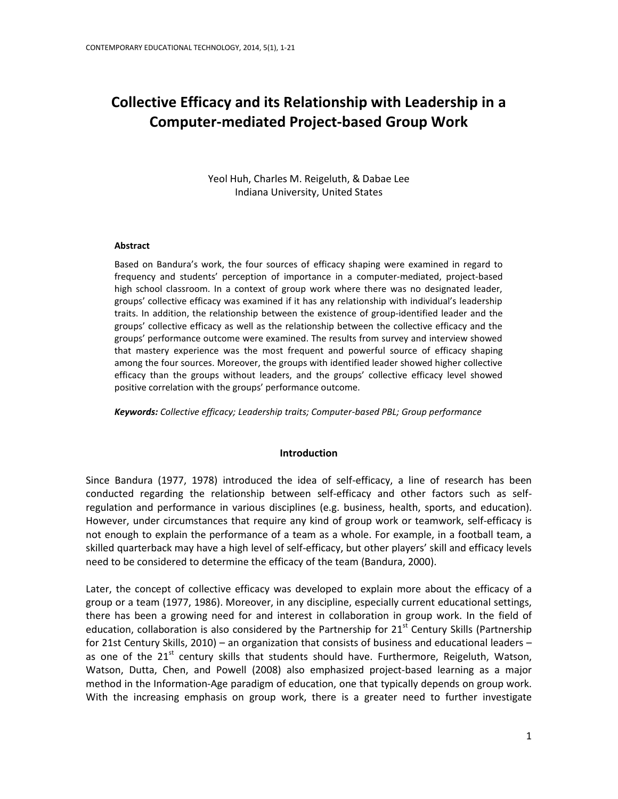# **Collective Efficacy and its Relationship with Leadership in a Computer-mediated Project-based Group Work**

Yeol Huh, Charles M. Reigeluth, & Dabae Lee Indiana University, United States

#### **Abstract**

Based on Bandura's work, the four sources of efficacy shaping were examined in regard to frequency and students' perception of importance in a computer-mediated, project-based high school classroom. In a context of group work where there was no designated leader, groups' collective efficacy was examined if it has any relationship with individual's leadership traits. In addition, the relationship between the existence of group-identified leader and the groups' collective efficacy as well as the relationship between the collective efficacy and the groups' performance outcome were examined. The results from survey and interview showed that mastery experience was the most frequent and powerful source of efficacy shaping among the four sources. Moreover, the groups with identified leader showed higher collective efficacy than the groups without leaders, and the groups' collective efficacy level showed positive correlation with the groups' performance outcome.

*Keywords: Collective efficacy; Leadership traits; Computer-based PBL; Group performance*

#### **Introduction**

Since Bandura [\(1977,](#page-18-0) [1978\)](#page-18-1) introduced the idea of self-efficacy, a line of research has been conducted regarding the relationship between self-efficacy and other factors such as selfregulation and performance in various disciplines (e.g. business, health, sports, and education). However, under circumstances that require any kind of group work or teamwork, self-efficacy is not enough to explain the performance of a team as a whole. For example, in a football team, a skilled quarterback may have a high level of self-efficacy, but other players' skill and efficacy levels need to be considered to determine the efficacy of the team [\(Bandura, 2000\)](#page-18-2).

Later, the concept of collective efficacy was developed to explain more about the efficacy of a group or a team [\(1977,](#page-18-0) [1986\)](#page-18-3). Moreover, in any discipline, especially current educational settings, there has been a growing need for and interest in collaboration in group work. In the field of education, collaboration is also considered by the Partnership for  $21<sup>st</sup>$  Century Skills (Partnership [for 21st Century Skills, 2010\)](#page-19-0) – an organization that consists of business and educational leaders – as one of the  $21^{st}$  century skills that students should have. Furthermore, Reigeluth, Watson, Watson, Dutta, Chen, and Powell [\(2008\)](#page-19-1) also emphasized project-based learning as a major method in the Information-Age paradigm of education, one that typically depends on group work. With the increasing emphasis on group work, there is a greater need to further investigate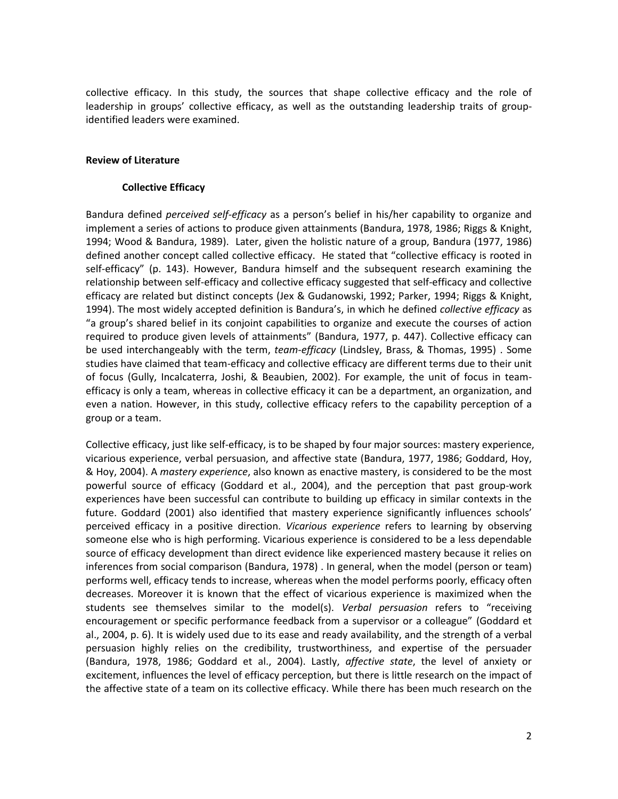collective efficacy. In this study, the sources that shape collective efficacy and the role of leadership in groups' collective efficacy, as well as the outstanding leadership traits of groupidentified leaders were examined.

#### **Review of Literature**

#### **Collective Efficacy**

Bandura defined *perceived self-efficacy* as a person's belief in his/her capability to organize and implement a series of actions to produce given attainments [\(Bandura, 1978,](#page-18-1) [1986;](#page-18-3) [Riggs & Knight,](#page-19-2)  [1994;](#page-19-2) [Wood & Bandura, 1989\)](#page-20-0). Later, given the holistic nature of a group, Bandura [\(1977,](#page-18-0) [1986\)](#page-18-3) defined another concept called collective efficacy. He stated that "collective efficacy is rooted in self-efficacy" (p. 143). However, Bandura himself and the subsequent research examining the relationship between self-efficacy and collective efficacy suggested that self-efficacy and collective efficacy are related but distinct concepts [\(Jex & Gudanowski, 1992;](#page-19-3) [Parker, 1994;](#page-19-4) [Riggs & Knight,](#page-19-2)  [1994\)](#page-19-2). The most widely accepted definition is Bandura's, in which he defined *collective efficacy* as "a group's shared belief in its conjoint capabilities to organize and execute the courses of action required to produce given levels of attainments" [\(Bandura, 1977, p. 447\)](#page-18-0). Collective efficacy can be used interchangeably with the term, *team-efficacy* [\(Lindsley, Brass, & Thomas, 1995\)](#page-19-5) . Some studies have claimed that team-efficacy and collective efficacy are different terms due to their unit of focus [\(Gully, Incalcaterra, Joshi, & Beaubien, 2002\)](#page-19-6). For example, the unit of focus in teamefficacy is only a team, whereas in collective efficacy it can be a department, an organization, and even a nation. However, in this study, collective efficacy refers to the capability perception of a group or a team.

Collective efficacy, just like self-efficacy, is to be shaped by four major sources: mastery experience, vicarious experience, verbal persuasion, and affective state [\(Bandura, 1977,](#page-18-0) [1986;](#page-18-3) [Goddard, Hoy,](#page-18-4)  [& Hoy, 2004\)](#page-18-4). A *mastery experience*, also known as enactive mastery, is considered to be the most powerful source of efficacy [\(Goddard et al., 2004\)](#page-18-4), and the perception that past group-work experiences have been successful can contribute to building up efficacy in similar contexts in the future. Goddard [\(2001\)](#page-18-5) also identified that mastery experience significantly influences schools' perceived efficacy in a positive direction. *Vicarious experience* refers to learning by observing someone else who is high performing. Vicarious experience is considered to be a less dependable source of efficacy development than direct evidence like experienced mastery because it relies on inferences from social comparison [\(Bandura, 1978\)](#page-18-1) . In general, when the model (person or team) performs well, efficacy tends to increase, whereas when the model performs poorly, efficacy often decreases. Moreover it is known that the effect of vicarious experience is maximized when the students see themselves similar to the model(s). *Verbal persuasion* refers to "receiving encouragement or specific performance feedback from a supervisor or a colleague" [\(Goddard et](#page-18-4)  [al., 2004, p. 6\)](#page-18-4). It is widely used due to its ease and ready availability, and the strength of a verbal persuasion highly relies on the credibility, trustworthiness, and expertise of the persuader [\(Bandura, 1978,](#page-18-1) [1986;](#page-18-3) [Goddard et al., 2004\)](#page-18-4). Lastly, *affective state*, the level of anxiety or excitement, influences the level of efficacy perception, but there is little research on the impact of the affective state of a team on its collective efficacy. While there has been much research on the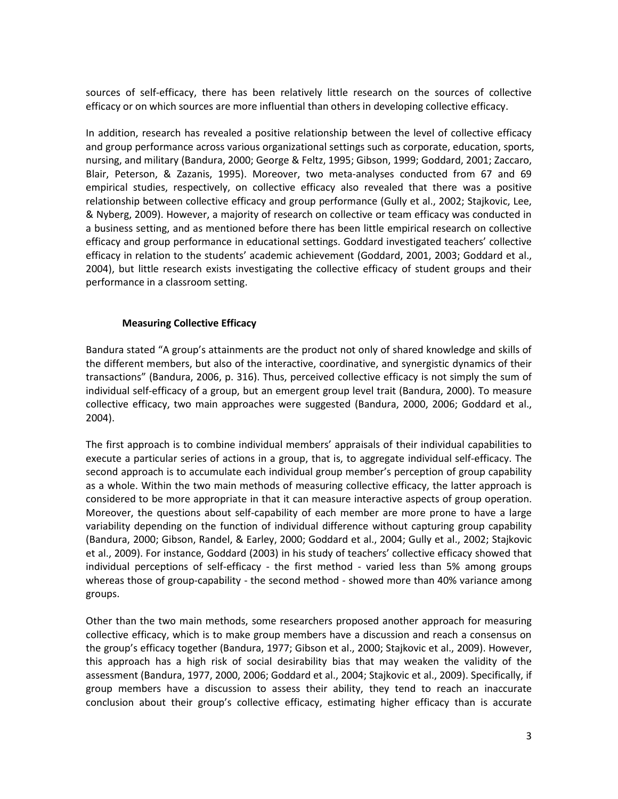sources of self-efficacy, there has been relatively little research on the sources of collective efficacy or on which sources are more influential than others in developing collective efficacy.

In addition, research has revealed a positive relationship between the level of collective efficacy and group performance across various organizational settings such as corporate, education, sports, nursing, and military [\(Bandura, 2000;](#page-18-2) [George & Feltz, 1995;](#page-18-6) [Gibson, 1999;](#page-18-7) [Goddard, 2001;](#page-18-5) [Zaccaro,](#page-20-1)  [Blair, Peterson, & Zazanis, 1995\)](#page-20-1). Moreover, two meta-analyses conducted from 67 and 69 empirical studies, respectively, on collective efficacy also revealed that there was a positive relationship between collective efficacy and group performance [\(Gully et al., 2002;](#page-19-6) [Stajkovic, Lee,](#page-19-7)  [& Nyberg, 2009\)](#page-19-7). However, a majority of research on collective or team efficacy was conducted in a business setting, and as mentioned before there has been little empirical research on collective efficacy and group performance in educational settings. Goddard investigated teachers' collective efficacy in relation to the students' academic achievement [\(Goddard, 2001,](#page-18-5) [2003;](#page-18-8) [Goddard et al.,](#page-18-4)  [2004\)](#page-18-4), but little research exists investigating the collective efficacy of student groups and their performance in a classroom setting.

# **Measuring Collective Efficacy**

Bandura stated "A group's attainments are the product not only of shared knowledge and skills of the different members, but also of the interactive, coordinative, and synergistic dynamics of their transactions" [\(Bandura, 2006, p. 316\)](#page-18-9). Thus, perceived collective efficacy is not simply the sum of individual self-efficacy of a group, but an emergent group level trait [\(Bandura, 2000\)](#page-18-2). To measure collective efficacy, two main approaches were suggested [\(Bandura, 2000,](#page-18-2) [2006;](#page-18-9) [Goddard et al.,](#page-18-4)  [2004\)](#page-18-4).

The first approach is to combine individual members' appraisals of their individual capabilities to execute a particular series of actions in a group, that is, to aggregate individual self-efficacy. The second approach is to accumulate each individual group member's perception of group capability as a whole. Within the two main methods of measuring collective efficacy, the latter approach is considered to be more appropriate in that it can measure interactive aspects of group operation. Moreover, the questions about self-capability of each member are more prone to have a large variability depending on the function of individual difference without capturing group capability [\(Bandura, 2000;](#page-18-2) [Gibson, Randel, & Earley, 2000;](#page-18-10) [Goddard et al., 2004;](#page-18-4) [Gully et al., 2002;](#page-19-6) [Stajkovic](#page-19-7)  [et al., 2009\)](#page-19-7). For instance, Goddard [\(2003\)](#page-18-8) in his study of teachers' collective efficacy showed that individual perceptions of self-efficacy - the first method - varied less than 5% among groups whereas those of group-capability - the second method - showed more than 40% variance among groups.

Other than the two main methods, some researchers proposed another approach for measuring collective efficacy, which is to make group members have a discussion and reach a consensus on the group's efficacy together [\(Bandura, 1977;](#page-18-0) [Gibson et al., 2000;](#page-18-10) [Stajkovic et al., 2009\)](#page-19-7). However, this approach has a high risk of social desirability bias that may weaken the validity of the assessment [\(Bandura, 1977,](#page-18-0) [2000,](#page-18-2) [2006;](#page-18-9) [Goddard et al., 2004;](#page-18-4) [Stajkovic et al., 2009\)](#page-19-7). Specifically, if group members have a discussion to assess their ability, they tend to reach an inaccurate conclusion about their group's collective efficacy, estimating higher efficacy than is accurate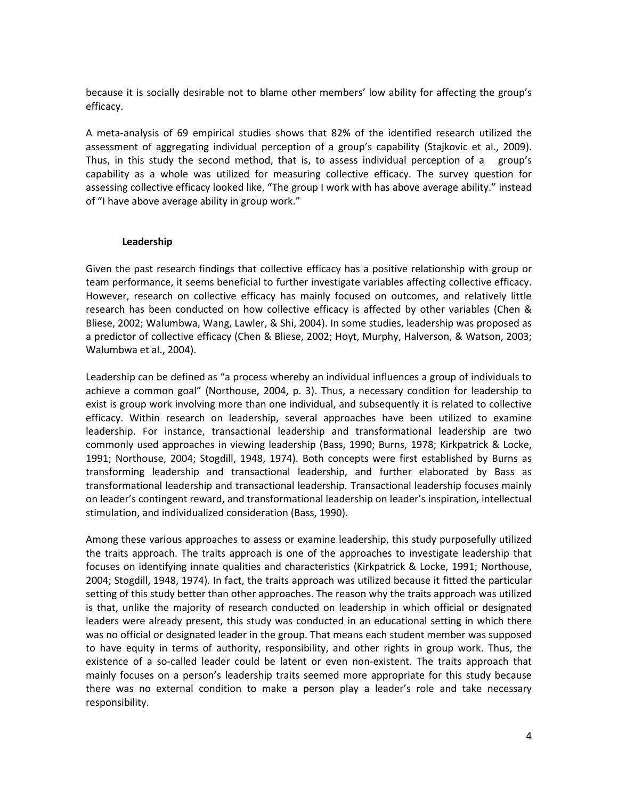because it is socially desirable not to blame other members' low ability for affecting the group's efficacy.

A meta-analysis of 69 empirical studies shows that 82% of the identified research utilized the assessment of aggregating individual perception of a group's capability [\(Stajkovic et al., 2009\)](#page-19-7). Thus, in this study the second method, that is, to assess individual perception of a group's capability as a whole was utilized for measuring collective efficacy. The survey question for assessing collective efficacy looked like, "The group I work with has above average ability." instead of "I have above average ability in group work."

#### **Leadership**

Given the past research findings that collective efficacy has a positive relationship with group or team performance, it seems beneficial to further investigate variables affecting collective efficacy. However, research on collective efficacy has mainly focused on outcomes, and relatively little research has been conducted on how collective efficacy is affected by other variables [\(Chen &](#page-18-11)  [Bliese, 2002;](#page-18-11) [Walumbwa, Wang, Lawler, & Shi, 2004\)](#page-19-8). In some studies, leadership was proposed as a predictor of collective efficacy [\(Chen & Bliese, 2002;](#page-18-11) [Hoyt, Murphy, Halverson, & Watson, 2003;](#page-19-9) [Walumbwa et al., 2004\)](#page-19-8).

Leadership can be defined as "a process whereby an individual influences a group of individuals to achieve a common goal" [\(Northouse, 2004, p. 3\)](#page-19-10). Thus, a necessary condition for leadership to exist is group work involving more than one individual, and subsequently it is related to collective efficacy. Within research on leadership, several approaches have been utilized to examine leadership. For instance, transactional leadership and transformational leadership are two commonly used approaches in viewing leadership [\(Bass, 1990;](#page-18-12) [Burns, 1978;](#page-18-13) [Kirkpatrick & Locke,](#page-19-11)  [1991;](#page-19-11) [Northouse, 2004;](#page-19-10) [Stogdill, 1948,](#page-19-12) [1974\)](#page-19-13). Both concepts were first established by Burns as transforming leadership and transactional leadership, and further elaborated by Bass as transformational leadership and transactional leadership. Transactional leadership focuses mainly on leader's contingent reward, and transformational leadership on leader's inspiration, intellectual stimulation, and individualized consideration [\(Bass, 1990\)](#page-18-12).

Among these various approaches to assess or examine leadership, this study purposefully utilized the traits approach. The traits approach is one of the approaches to investigate leadership that focuses on identifying innate qualities and characteristics [\(Kirkpatrick & Locke, 1991;](#page-19-11) [Northouse,](#page-19-10)  [2004;](#page-19-10) [Stogdill, 1948,](#page-19-12) [1974\)](#page-19-13). In fact, the traits approach was utilized because it fitted the particular setting of this study better than other approaches. The reason why the traits approach was utilized is that, unlike the majority of research conducted on leadership in which official or designated leaders were already present, this study was conducted in an educational setting in which there was no official or designated leader in the group. That means each student member was supposed to have equity in terms of authority, responsibility, and other rights in group work. Thus, the existence of a so-called leader could be latent or even non-existent. The traits approach that mainly focuses on a person's leadership traits seemed more appropriate for this study because there was no external condition to make a person play a leader's role and take necessary responsibility.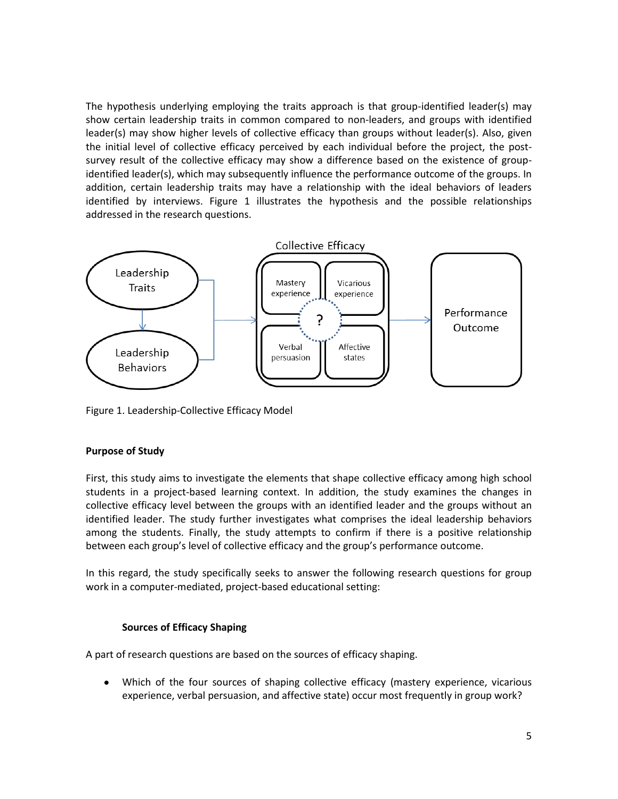The hypothesis underlying employing the traits approach is that group-identified leader(s) may show certain leadership traits in common compared to non-leaders, and groups with identified leader(s) may show higher levels of collective efficacy than groups without leader(s). Also, given the initial level of collective efficacy perceived by each individual before the project, the postsurvey result of the collective efficacy may show a difference based on the existence of groupidentified leader(s), which may subsequently influence the performance outcome of the groups. In addition, certain leadership traits may have a relationship with the ideal behaviors of leaders identified by interviews. Figure 1 illustrates the hypothesis and the possible relationships addressed in the research questions.



Figure 1. Leadership-Collective Efficacy Model

# **Purpose of Study**

First, this study aims to investigate the elements that shape collective efficacy among high school students in a project-based learning context. In addition, the study examines the changes in collective efficacy level between the groups with an identified leader and the groups without an identified leader. The study further investigates what comprises the ideal leadership behaviors among the students. Finally, the study attempts to confirm if there is a positive relationship between each group's level of collective efficacy and the group's performance outcome.

In this regard, the study specifically seeks to answer the following research questions for group work in a computer-mediated, project-based educational setting:

# **Sources of Efficacy Shaping**

A part of research questions are based on the sources of efficacy shaping.

Which of the four sources of shaping collective efficacy (mastery experience, vicarious  $\bullet$ experience, verbal persuasion, and affective state) occur most frequently in group work?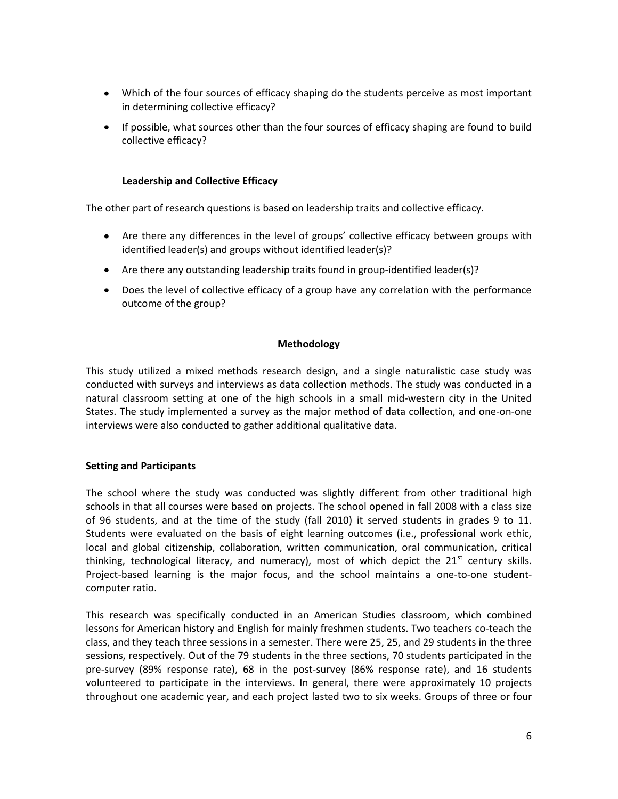- Which of the four sources of efficacy shaping do the students perceive as most important in determining collective efficacy?
- If possible, what sources other than the four sources of efficacy shaping are found to build collective efficacy?

# **Leadership and Collective Efficacy**

The other part of research questions is based on leadership traits and collective efficacy.

- Are there any differences in the level of groups' collective efficacy between groups with identified leader(s) and groups without identified leader(s)?
- Are there any outstanding leadership traits found in group-identified leader(s)?
- Does the level of collective efficacy of a group have any correlation with the performance outcome of the group?

#### **Methodology**

This study utilized a mixed methods research design, and a single naturalistic case study was conducted with surveys and interviews as data collection methods. The study was conducted in a natural classroom setting at one of the high schools in a small mid-western city in the United States. The study implemented a survey as the major method of data collection, and one-on-one interviews were also conducted to gather additional qualitative data.

#### **Setting and Participants**

The school where the study was conducted was slightly different from other traditional high schools in that all courses were based on projects. The school opened in fall 2008 with a class size of 96 students, and at the time of the study (fall 2010) it served students in grades 9 to 11. Students were evaluated on the basis of eight learning outcomes (i.e., professional work ethic, local and global citizenship, collaboration, written communication, oral communication, critical thinking, technological literacy, and numeracy), most of which depict the  $21^{st}$  century skills. Project-based learning is the major focus, and the school maintains a one-to-one studentcomputer ratio.

This research was specifically conducted in an American Studies classroom, which combined lessons for American history and English for mainly freshmen students. Two teachers co-teach the class, and they teach three sessions in a semester. There were 25, 25, and 29 students in the three sessions, respectively. Out of the 79 students in the three sections, 70 students participated in the pre-survey (89% response rate), 68 in the post-survey (86% response rate), and 16 students volunteered to participate in the interviews. In general, there were approximately 10 projects throughout one academic year, and each project lasted two to six weeks. Groups of three or four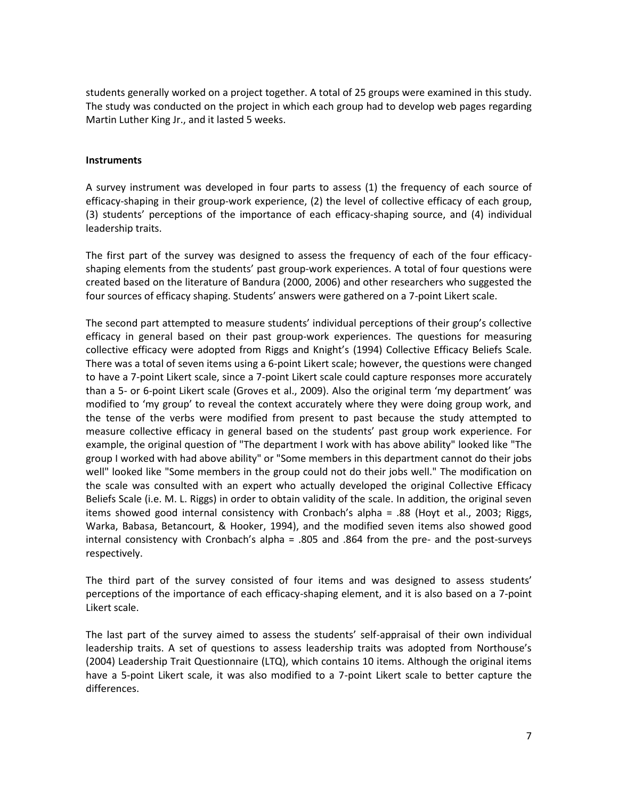students generally worked on a project together. A total of 25 groups were examined in this study. The study was conducted on the project in which each group had to develop web pages regarding Martin Luther King Jr., and it lasted 5 weeks.

#### **Instruments**

A survey instrument was developed in four parts to assess (1) the frequency of each source of efficacy-shaping in their group-work experience, (2) the level of collective efficacy of each group, (3) students' perceptions of the importance of each efficacy-shaping source, and (4) individual leadership traits.

The first part of the survey was designed to assess the frequency of each of the four efficacyshaping elements from the students' past group-work experiences. A total of four questions were created based on the literature of Bandura [\(2000,](#page-18-2) [2006\)](#page-18-9) and other researchers who suggested the four sources of efficacy shaping. Students' answers were gathered on a 7-point Likert scale.

The second part attempted to measure students' individual perceptions of their group's collective efficacy in general based on their past group-work experiences. The questions for measuring collective efficacy were adopted from Riggs and Knight's [\(1994\)](#page-19-2) Collective Efficacy Beliefs Scale. There was a total of seven items using a 6-point Likert scale; however, the questions were changed to have a 7-point Likert scale, since a 7-point Likert scale could capture responses more accurately than a 5- or 6-point Likert scale [\(Groves et al., 2009\)](#page-19-14). Also the original term 'my department' was modified to 'my group' to reveal the context accurately where they were doing group work, and the tense of the verbs were modified from present to past because the study attempted to measure collective efficacy in general based on the students' past group work experience. For example, the original question of "The department I work with has above ability" looked like "The group I worked with had above ability" or "Some members in this department cannot do their jobs well" looked like "Some members in the group could not do their jobs well." The modification on the scale was consulted with an expert who actually developed the original Collective Efficacy Beliefs Scale (i.e. M. L. Riggs) in order to obtain validity of the scale. In addition, the original seven items showed good internal consistency with Cronbach's alpha = .88 [\(Hoyt et al., 2003;](#page-19-9) [Riggs,](#page-19-15)  [Warka, Babasa, Betancourt, & Hooker, 1994\)](#page-19-15), and the modified seven items also showed good internal consistency with Cronbach's alpha = .805 and .864 from the pre- and the post-surveys respectively.

The third part of the survey consisted of four items and was designed to assess students' perceptions of the importance of each efficacy-shaping element, and it is also based on a 7-point Likert scale.

The last part of the survey aimed to assess the students' self-appraisal of their own individual leadership traits. A set of questions to assess leadership traits was adopted from Northouse's (2004) Leadership Trait Questionnaire (LTQ), which contains 10 items. Although the original items have a 5-point Likert scale, it was also modified to a 7-point Likert scale to better capture the differences.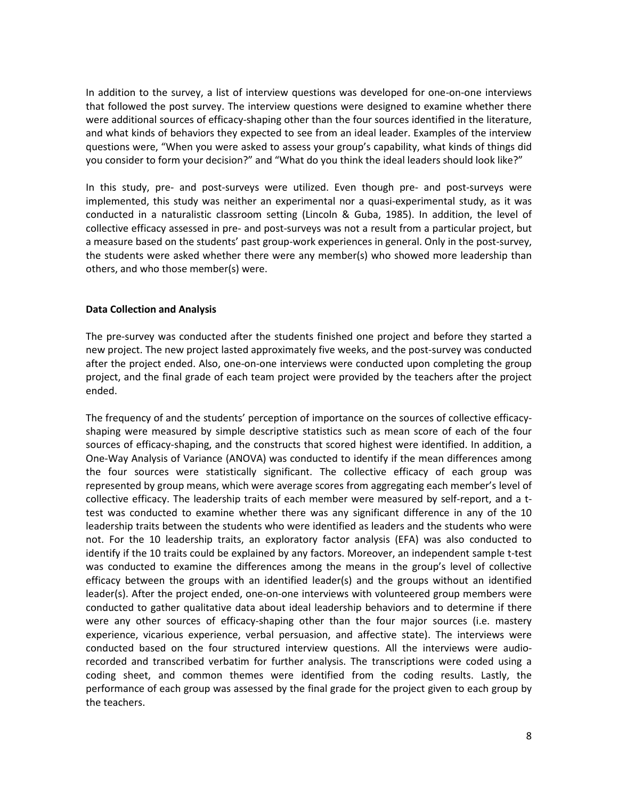In addition to the survey, a list of interview questions was developed for one-on-one interviews that followed the post survey. The interview questions were designed to examine whether there were additional sources of efficacy-shaping other than the four sources identified in the literature, and what kinds of behaviors they expected to see from an ideal leader. Examples of the interview questions were, "When you were asked to assess your group's capability, what kinds of things did you consider to form your decision?" and "What do you think the ideal leaders should look like?"

In this study, pre- and post-surveys were utilized. Even though pre- and post-surveys were implemented, this study was neither an experimental nor a quasi-experimental study, as it was conducted in a naturalistic classroom setting [\(Lincoln & Guba, 1985\)](#page-19-16). In addition, the level of collective efficacy assessed in pre- and post-surveys was not a result from a particular project, but a measure based on the students' past group-work experiences in general. Only in the post-survey, the students were asked whether there were any member(s) who showed more leadership than others, and who those member(s) were.

#### **Data Collection and Analysis**

The pre-survey was conducted after the students finished one project and before they started a new project. The new project lasted approximately five weeks, and the post-survey was conducted after the project ended. Also, one-on-one interviews were conducted upon completing the group project, and the final grade of each team project were provided by the teachers after the project ended.

The frequency of and the students' perception of importance on the sources of collective efficacyshaping were measured by simple descriptive statistics such as mean score of each of the four sources of efficacy-shaping, and the constructs that scored highest were identified. In addition, a One-Way Analysis of Variance (ANOVA) was conducted to identify if the mean differences among the four sources were statistically significant. The collective efficacy of each group was represented by group means, which were average scores from aggregating each member's level of collective efficacy. The leadership traits of each member were measured by self-report, and a ttest was conducted to examine whether there was any significant difference in any of the 10 leadership traits between the students who were identified as leaders and the students who were not. For the 10 leadership traits, an exploratory factor analysis (EFA) was also conducted to identify if the 10 traits could be explained by any factors. Moreover, an independent sample t-test was conducted to examine the differences among the means in the group's level of collective efficacy between the groups with an identified leader(s) and the groups without an identified leader(s). After the project ended, one-on-one interviews with volunteered group members were conducted to gather qualitative data about ideal leadership behaviors and to determine if there were any other sources of efficacy-shaping other than the four major sources (i.e. mastery experience, vicarious experience, verbal persuasion, and affective state). The interviews were conducted based on the four structured interview questions. All the interviews were audiorecorded and transcribed verbatim for further analysis. The transcriptions were coded using a coding sheet, and common themes were identified from the coding results. Lastly, the performance of each group was assessed by the final grade for the project given to each group by the teachers.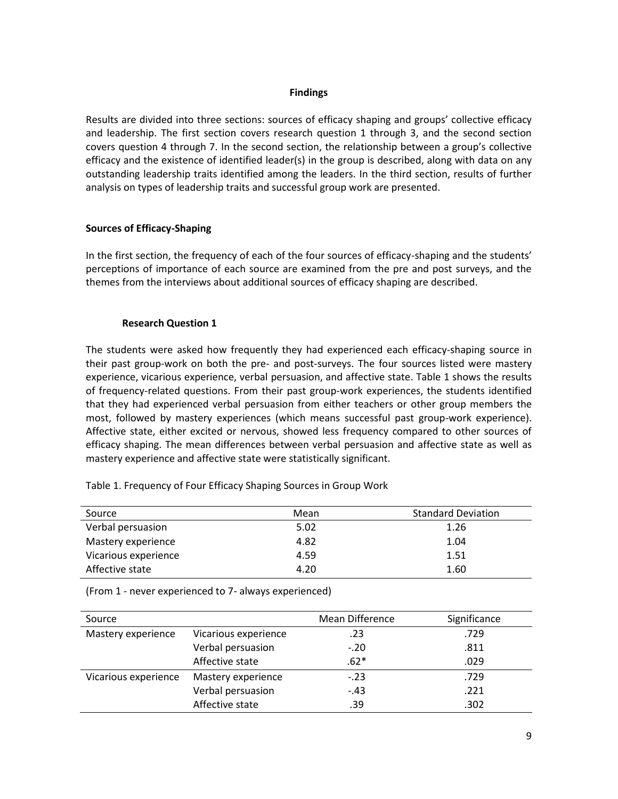#### **Findings**

Results are divided into three sections: sources of efficacy shaping and groups' collective efficacy and leadership. The first section covers research question 1 through 3, and the second section covers question 4 through 7. In the second section, the relationship between a group's collective efficacy and the existence of identified leader(s) in the group is described, along with data on any outstanding leadership traits identified among the leaders. In the third section, results of further analysis on types of leadership traits and successful group work are presented.

# **Sources of Efficacy-Shaping**

In the first section, the frequency of each of the four sources of efficacy-shaping and the students' perceptions of importance of each source are examined from the pre and post surveys, and the themes from the interviews about additional sources of efficacy shaping are described.

#### **Research Question 1**

The students were asked how frequently they had experienced each efficacy-shaping source in their past group-work on both the pre- and post-surveys. The four sources listed were mastery experience, vicarious experience, verbal persuasion, and affective state. Table 1 shows the results of frequency-related questions. From their past group-work experiences, the students identified that they had experienced verbal persuasion from either teachers or other group members the most, followed by mastery experiences (which means successful past group-work experience). Affective state, either excited or nervous, showed less frequency compared to other sources of efficacy shaping. The mean differences between verbal persuasion and affective state as well as mastery experience and affective state were statistically significant.

| Source               | Mean | <b>Standard Deviation</b> |
|----------------------|------|---------------------------|
| Verbal persuasion    | 5.02 | 1.26                      |
| Mastery experience   | 4.82 | 1.04                      |
| Vicarious experience | 4.59 | 1.51                      |
| Affective state      | 4.20 | 1.60                      |

Table 1. Frequency of Four Efficacy Shaping Sources in Group Work

(From 1 - never experienced to 7- always experienced)

| Source               |                      | Mean Difference | Significance |
|----------------------|----------------------|-----------------|--------------|
| Mastery experience   | Vicarious experience | .23             | .729         |
|                      | Verbal persuasion    | $-.20$          | .811         |
|                      | Affective state      | $.62*$          | .029         |
| Vicarious experience | Mastery experience   | $-.23$          | .729         |
|                      | Verbal persuasion    | $-.43$          | .221         |
|                      | Affective state      | .39             | .302         |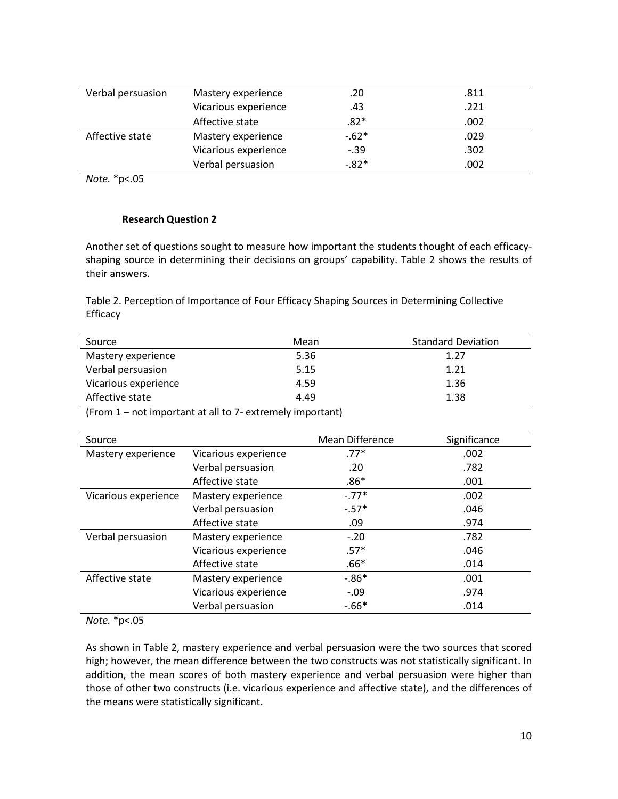| Verbal persuasion | Mastery experience   | .20    | .811 |
|-------------------|----------------------|--------|------|
|                   | Vicarious experience | .43    | .221 |
|                   | Affective state      | .82*   | .002 |
| Affective state   | Mastery experience   | $-62*$ | .029 |
|                   | Vicarious experience | $-.39$ | .302 |
|                   | Verbal persuasion    | $-82*$ | .002 |

*Note.* \*p<.05

#### **Research Question 2**

Another set of questions sought to measure how important the students thought of each efficacyshaping source in determining their decisions on groups' capability. Table 2 shows the results of their answers.

Table 2. Perception of Importance of Four Efficacy Shaping Sources in Determining Collective Efficacy

| Source                                                                                                                                                                                                                          | Mean | <b>Standard Deviation</b> |
|---------------------------------------------------------------------------------------------------------------------------------------------------------------------------------------------------------------------------------|------|---------------------------|
| Mastery experience                                                                                                                                                                                                              | 5.36 | 1.27                      |
| Verbal persuasion                                                                                                                                                                                                               | 5.15 | 1.21                      |
| Vicarious experience                                                                                                                                                                                                            | 4.59 | 1.36                      |
| Affective state                                                                                                                                                                                                                 | 4.49 | 1.38                      |
| $\sim$ . The contract of the contract of the contract of the contract of the contract of the contract of the contract of the contract of the contract of the contract of the contract of the contract of the contract of the co |      |                           |

(From 1 – not important at all to 7- extremely important)

| Source               |                      | <b>Mean Difference</b> | Significance |
|----------------------|----------------------|------------------------|--------------|
| Mastery experience   | Vicarious experience | $.77*$                 | .002         |
|                      | Verbal persuasion    | .20                    | .782         |
|                      | Affective state      | $.86*$                 | .001         |
| Vicarious experience | Mastery experience   | $-.77*$                | .002         |
|                      | Verbal persuasion    | $-.57*$                | .046         |
|                      | Affective state      | .09                    | .974         |
| Verbal persuasion    | Mastery experience   | $-.20$                 | .782         |
|                      | Vicarious experience | $.57*$                 | .046         |
|                      | Affective state      | $.66*$                 | .014         |
| Affective state      | Mastery experience   | $-0.86*$               | .001         |
|                      | Vicarious experience | $-.09$                 | .974         |
|                      | Verbal persuasion    | $-0.66*$               | .014         |

#### *Note.* \*p<.05

As shown in Table 2, mastery experience and verbal persuasion were the two sources that scored high; however, the mean difference between the two constructs was not statistically significant. In addition, the mean scores of both mastery experience and verbal persuasion were higher than those of other two constructs (i.e. vicarious experience and affective state), and the differences of the means were statistically significant.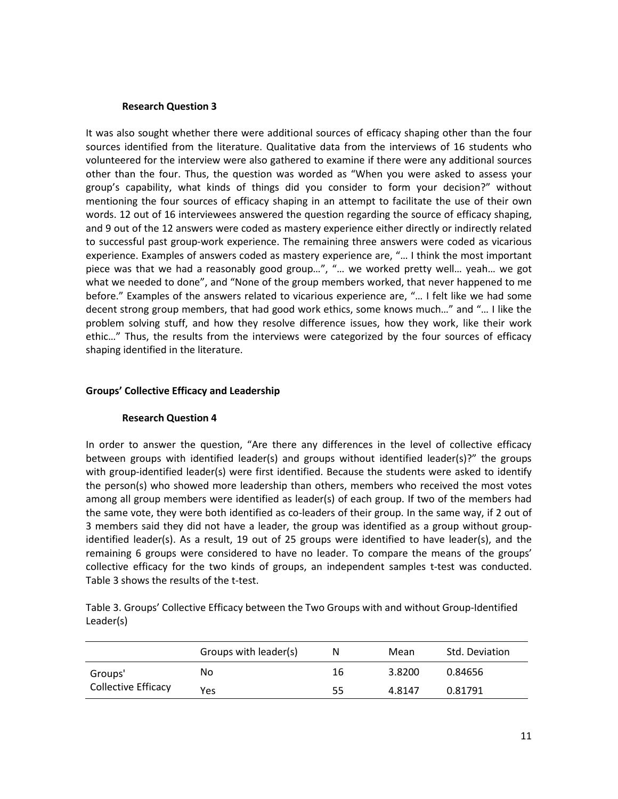#### **Research Question 3**

It was also sought whether there were additional sources of efficacy shaping other than the four sources identified from the literature. Qualitative data from the interviews of 16 students who volunteered for the interview were also gathered to examine if there were any additional sources other than the four. Thus, the question was worded as "When you were asked to assess your group's capability, what kinds of things did you consider to form your decision?" without mentioning the four sources of efficacy shaping in an attempt to facilitate the use of their own words. 12 out of 16 interviewees answered the question regarding the source of efficacy shaping, and 9 out of the 12 answers were coded as mastery experience either directly or indirectly related to successful past group-work experience. The remaining three answers were coded as vicarious experience. Examples of answers coded as mastery experience are, "… I think the most important piece was that we had a reasonably good group…", "… we worked pretty well… yeah… we got what we needed to done", and "None of the group members worked, that never happened to me before." Examples of the answers related to vicarious experience are, "… I felt like we had some decent strong group members, that had good work ethics, some knows much…" and "… I like the problem solving stuff, and how they resolve difference issues, how they work, like their work ethic…" Thus, the results from the interviews were categorized by the four sources of efficacy shaping identified in the literature.

# **Groups' Collective Efficacy and Leadership**

# **Research Question 4**

In order to answer the question, "Are there any differences in the level of collective efficacy between groups with identified leader(s) and groups without identified leader(s)?" the groups with group-identified leader(s) were first identified. Because the students were asked to identify the person(s) who showed more leadership than others, members who received the most votes among all group members were identified as leader(s) of each group. If two of the members had the same vote, they were both identified as co-leaders of their group. In the same way, if 2 out of 3 members said they did not have a leader, the group was identified as a group without groupidentified leader(s). As a result, 19 out of 25 groups were identified to have leader(s), and the remaining 6 groups were considered to have no leader. To compare the means of the groups' collective efficacy for the two kinds of groups, an independent samples t-test was conducted. Table 3 shows the results of the t-test.

Table 3. Groups' Collective Efficacy between the Two Groups with and without Group-Identified Leader(s)

|                     | Groups with leader(s) | N  | Mean   | Std. Deviation |
|---------------------|-----------------------|----|--------|----------------|
| Groups'             | No                    | 16 | 3.8200 | 0.84656        |
| Collective Efficacy | Yes                   | 55 | 4.8147 | 0.81791        |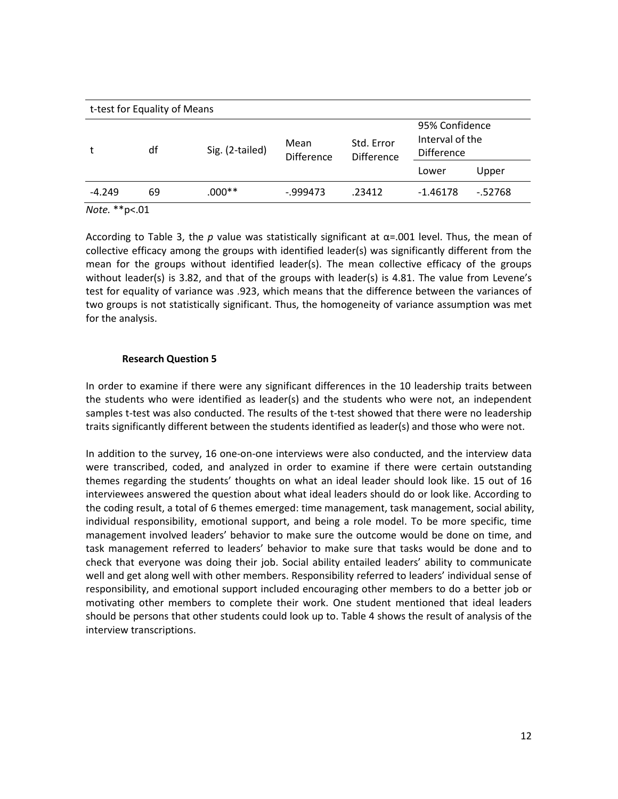| t-test for Equality of Means |    |                 |                           |                                 |                                                        |          |
|------------------------------|----|-----------------|---------------------------|---------------------------------|--------------------------------------------------------|----------|
|                              | df | Sig. (2-tailed) | Mean<br><b>Difference</b> | Std. Error<br><b>Difference</b> | 95% Confidence<br>Interval of the<br><b>Difference</b> |          |
|                              |    |                 |                           |                                 | Lower                                                  | Upper    |
| $-4.249$                     | 69 | $.000**$        | $-0.999473$               | .23412                          | $-1.46178$                                             | $-52768$ |
| $N$ $A + \alpha * * \alpha$  |    |                 |                           |                                 |                                                        |          |

*Note.* \*\*p<.01

According to Table 3, the *p* value was statistically significant at α=.001 level. Thus, the mean of collective efficacy among the groups with identified leader(s) was significantly different from the mean for the groups without identified leader(s). The mean collective efficacy of the groups without leader(s) is 3.82, and that of the groups with leader(s) is 4.81. The value from Levene's test for equality of variance was .923, which means that the difference between the variances of two groups is not statistically significant. Thus, the homogeneity of variance assumption was met for the analysis.

# **Research Question 5**

In order to examine if there were any significant differences in the 10 leadership traits between the students who were identified as leader(s) and the students who were not, an independent samples t-test was also conducted. The results of the t-test showed that there were no leadership traits significantly different between the students identified as leader(s) and those who were not.

In addition to the survey, 16 one-on-one interviews were also conducted, and the interview data were transcribed, coded, and analyzed in order to examine if there were certain outstanding themes regarding the students' thoughts on what an ideal leader should look like. 15 out of 16 interviewees answered the question about what ideal leaders should do or look like. According to the coding result, a total of 6 themes emerged: time management, task management, social ability, individual responsibility, emotional support, and being a role model. To be more specific, time management involved leaders' behavior to make sure the outcome would be done on time, and task management referred to leaders' behavior to make sure that tasks would be done and to check that everyone was doing their job. Social ability entailed leaders' ability to communicate well and get along well with other members. Responsibility referred to leaders' individual sense of responsibility, and emotional support included encouraging other members to do a better job or motivating other members to complete their work. One student mentioned that ideal leaders should be persons that other students could look up to. Table 4 shows the result of analysis of the interview transcriptions.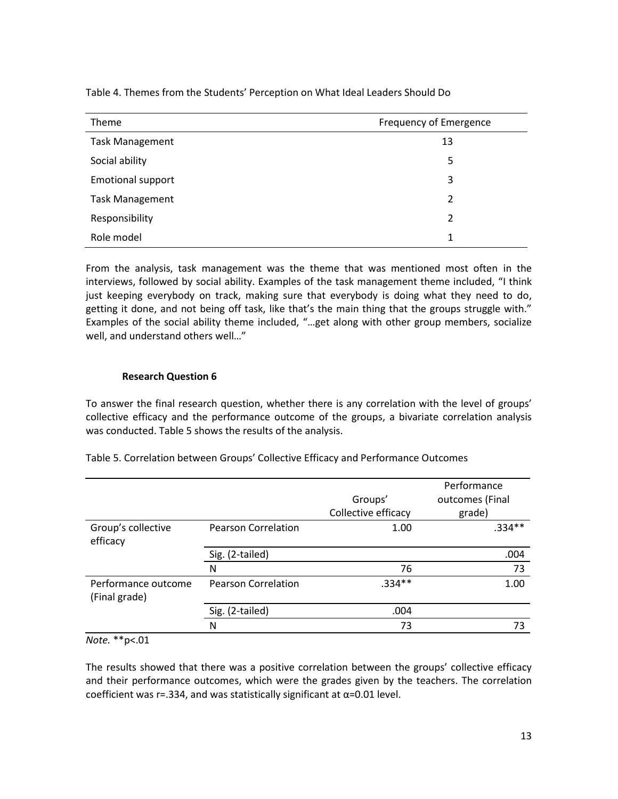| Theme                    | Frequency of Emergence |  |
|--------------------------|------------------------|--|
| <b>Task Management</b>   | 13                     |  |
| Social ability           | 5                      |  |
| <b>Emotional support</b> | 3                      |  |
| <b>Task Management</b>   | $\mathcal{P}$          |  |
| Responsibility           | 2                      |  |
| Role model               | 1                      |  |

Table 4. Themes from the Students' Perception on What Ideal Leaders Should Do

From the analysis, task management was the theme that was mentioned most often in the interviews, followed by social ability. Examples of the task management theme included, "I think just keeping everybody on track, making sure that everybody is doing what they need to do, getting it done, and not being off task, like that's the main thing that the groups struggle with." Examples of the social ability theme included, "…get along with other group members, socialize well, and understand others well…"

# **Research Question 6**

To answer the final research question, whether there is any correlation with the level of groups' collective efficacy and the performance outcome of the groups, a bivariate correlation analysis was conducted. Table 5 shows the results of the analysis.

|                                      |                            | Groups'             | Performance<br>outcomes (Final |
|--------------------------------------|----------------------------|---------------------|--------------------------------|
|                                      |                            | Collective efficacy | grade)                         |
| Group's collective<br>efficacy       | <b>Pearson Correlation</b> | 1.00                | $.334**$                       |
|                                      | Sig. (2-tailed)            |                     | .004                           |
|                                      | N                          | 76                  | 73                             |
| Performance outcome<br>(Final grade) | <b>Pearson Correlation</b> | $.334**$            | 1.00                           |
|                                      | Sig. (2-tailed)            | .004                |                                |
|                                      | N                          | 73                  | 73                             |

Table 5. Correlation between Groups' Collective Efficacy and Performance Outcomes

*Note.* \*\*p<.01

The results showed that there was a positive correlation between the groups' collective efficacy and their performance outcomes, which were the grades given by the teachers. The correlation coefficient was r=.334, and was statistically significant at  $\alpha$ =0.01 level.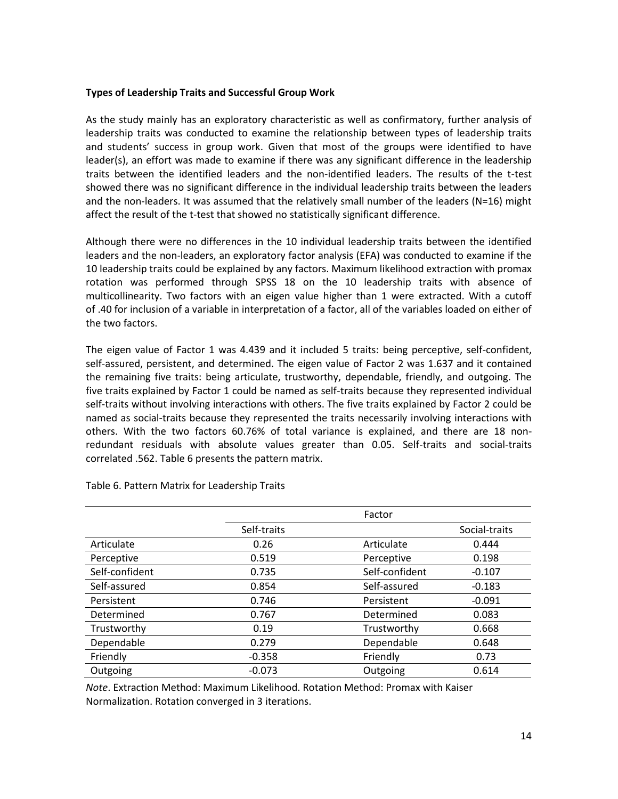# **Types of Leadership Traits and Successful Group Work**

As the study mainly has an exploratory characteristic as well as confirmatory, further analysis of leadership traits was conducted to examine the relationship between types of leadership traits and students' success in group work. Given that most of the groups were identified to have leader(s), an effort was made to examine if there was any significant difference in the leadership traits between the identified leaders and the non-identified leaders. The results of the t-test showed there was no significant difference in the individual leadership traits between the leaders and the non-leaders. It was assumed that the relatively small number of the leaders (N=16) might affect the result of the t-test that showed no statistically significant difference.

Although there were no differences in the 10 individual leadership traits between the identified leaders and the non-leaders, an exploratory factor analysis (EFA) was conducted to examine if the 10 leadership traits could be explained by any factors. Maximum likelihood extraction with promax rotation was performed through SPSS 18 on the 10 leadership traits with absence of multicollinearity. Two factors with an eigen value higher than 1 were extracted. With a cutoff of .40 for inclusion of a variable in interpretation of a factor, all of the variables loaded on either of the two factors.

The eigen value of Factor 1 was 4.439 and it included 5 traits: being perceptive, self-confident, self-assured, persistent, and determined. The eigen value of Factor 2 was 1.637 and it contained the remaining five traits: being articulate, trustworthy, dependable, friendly, and outgoing. The five traits explained by Factor 1 could be named as self-traits because they represented individual self-traits without involving interactions with others. The five traits explained by Factor 2 could be named as social-traits because they represented the traits necessarily involving interactions with others. With the two factors 60.76% of total variance is explained, and there are 18 nonredundant residuals with absolute values greater than 0.05. Self-traits and social-traits correlated .562. Table 6 presents the pattern matrix.

|                |             | Factor         |               |
|----------------|-------------|----------------|---------------|
|                | Self-traits |                | Social-traits |
| Articulate     | 0.26        | Articulate     | 0.444         |
| Perceptive     | 0.519       | Perceptive     | 0.198         |
| Self-confident | 0.735       | Self-confident | $-0.107$      |
| Self-assured   | 0.854       | Self-assured   | $-0.183$      |
| Persistent     | 0.746       | Persistent     | $-0.091$      |
| Determined     | 0.767       | Determined     | 0.083         |
| Trustworthy    | 0.19        | Trustworthy    | 0.668         |
| Dependable     | 0.279       | Dependable     | 0.648         |
| Friendly       | $-0.358$    | Friendly       | 0.73          |
| Outgoing       | $-0.073$    | Outgoing       | 0.614         |

Table 6. Pattern Matrix for Leadership Traits

*Note*. Extraction Method: Maximum Likelihood. Rotation Method: Promax with Kaiser Normalization. Rotation converged in 3 iterations.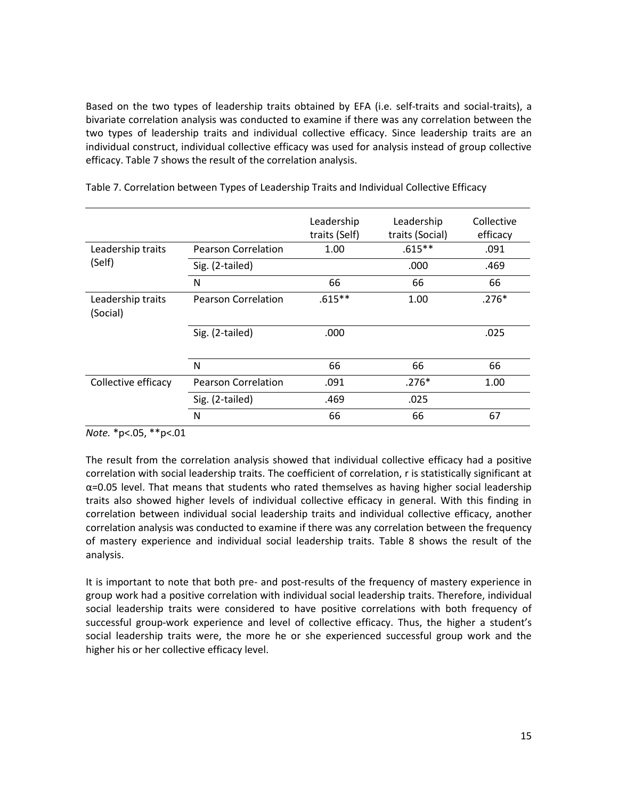Based on the two types of leadership traits obtained by EFA (i.e. self-traits and social-traits), a bivariate correlation analysis was conducted to examine if there was any correlation between the two types of leadership traits and individual collective efficacy. Since leadership traits are an individual construct, individual collective efficacy was used for analysis instead of group collective efficacy. Table 7 shows the result of the correlation analysis.

|                               |                            | Leadership<br>traits (Self) | Leadership<br>traits (Social) | Collective<br>efficacy |
|-------------------------------|----------------------------|-----------------------------|-------------------------------|------------------------|
| Leadership traits             | <b>Pearson Correlation</b> | 1.00                        | $.615***$                     | .091                   |
| (Self)                        | Sig. (2-tailed)            |                             | .000                          | .469                   |
|                               | N                          | 66                          | 66                            | 66                     |
| Leadership traits<br>(Social) | <b>Pearson Correlation</b> | $.615***$                   | 1.00                          | $.276*$                |
|                               | Sig. (2-tailed)            | .000                        |                               | .025                   |
|                               | N                          | 66                          | 66                            | 66                     |
| Collective efficacy           | <b>Pearson Correlation</b> | .091                        | $.276*$                       | 1.00                   |
|                               | Sig. (2-tailed)            | .469                        | .025                          |                        |
|                               | N                          | 66                          | 66                            | 67                     |

Table 7. Correlation between Types of Leadership Traits and Individual Collective Efficacy

*Note.* \*p<.05, \*\*p<.01

The result from the correlation analysis showed that individual collective efficacy had a positive correlation with social leadership traits. The coefficient of correlation, r is statistically significant at  $\alpha$ =0.05 level. That means that students who rated themselves as having higher social leadership traits also showed higher levels of individual collective efficacy in general. With this finding in correlation between individual social leadership traits and individual collective efficacy, another correlation analysis was conducted to examine if there was any correlation between the frequency of mastery experience and individual social leadership traits. Table 8 shows the result of the analysis.

It is important to note that both pre- and post-results of the frequency of mastery experience in group work had a positive correlation with individual social leadership traits. Therefore, individual social leadership traits were considered to have positive correlations with both frequency of successful group-work experience and level of collective efficacy. Thus, the higher a student's social leadership traits were, the more he or she experienced successful group work and the higher his or her collective efficacy level.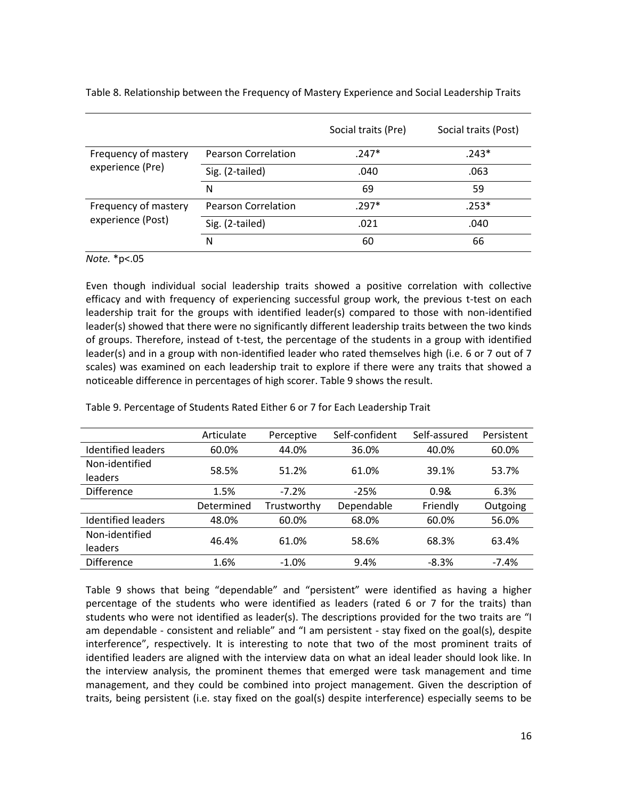|                                          |                            | Social traits (Pre) | Social traits (Post) |
|------------------------------------------|----------------------------|---------------------|----------------------|
| Frequency of mastery<br>experience (Pre) | <b>Pearson Correlation</b> | $.247*$             | $.243*$              |
|                                          | Sig. (2-tailed)            | .040                | .063                 |
|                                          | N                          | 69                  | 59                   |
| Frequency of mastery                     | <b>Pearson Correlation</b> | $.297*$             | .253*                |
| experience (Post)                        | Sig. (2-tailed)            | .021                | .040                 |
|                                          | N                          | 60                  | 66                   |

Table 8. Relationship between the Frequency of Mastery Experience and Social Leadership Traits

#### *Note.* \*p<.05

Even though individual social leadership traits showed a positive correlation with collective efficacy and with frequency of experiencing successful group work, the previous t-test on each leadership trait for the groups with identified leader(s) compared to those with non-identified leader(s) showed that there were no significantly different leadership traits between the two kinds of groups. Therefore, instead of t-test, the percentage of the students in a group with identified leader(s) and in a group with non-identified leader who rated themselves high (i.e. 6 or 7 out of 7 scales) was examined on each leadership trait to explore if there were any traits that showed a noticeable difference in percentages of high scorer. Table 9 shows the result.

|                           | Articulate | Perceptive  | Self-confident | Self-assured | Persistent |
|---------------------------|------------|-------------|----------------|--------------|------------|
| <b>Identified leaders</b> | 60.0%      | 44.0%       | 36.0%          | 40.0%        | 60.0%      |
| Non-identified            | 58.5%      | 51.2%       | 61.0%          | 39.1%        | 53.7%      |
| leaders                   |            |             |                |              |            |
| <b>Difference</b>         | 1.5%       | $-7.2%$     | $-25%$         | 0.98         | 6.3%       |
|                           | Determined | Trustworthy | Dependable     | Friendly     | Outgoing   |
| <b>Identified leaders</b> | 48.0%      | 60.0%       | 68.0%          | 60.0%        | 56.0%      |
| Non-identified            | 46.4%      | 61.0%       | 58.6%          | 68.3%        | 63.4%      |
| leaders                   |            |             |                |              |            |
| <b>Difference</b>         | 1.6%       | $-1.0%$     | 9.4%           | $-8.3%$      | $-7.4%$    |

Table 9. Percentage of Students Rated Either 6 or 7 for Each Leadership Trait

Table 9 shows that being "dependable" and "persistent" were identified as having a higher percentage of the students who were identified as leaders (rated 6 or 7 for the traits) than students who were not identified as leader(s). The descriptions provided for the two traits are "I am dependable - consistent and reliable" and "I am persistent - stay fixed on the goal(s), despite interference", respectively. It is interesting to note that two of the most prominent traits of identified leaders are aligned with the interview data on what an ideal leader should look like. In the interview analysis, the prominent themes that emerged were task management and time management, and they could be combined into project management. Given the description of traits, being persistent (i.e. stay fixed on the goal(s) despite interference) especially seems to be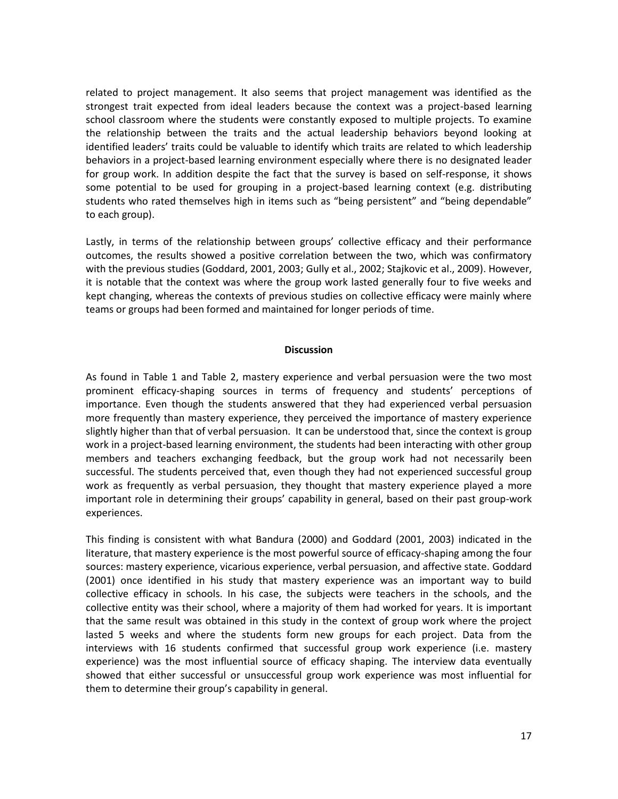related to project management. It also seems that project management was identified as the strongest trait expected from ideal leaders because the context was a project-based learning school classroom where the students were constantly exposed to multiple projects. To examine the relationship between the traits and the actual leadership behaviors beyond looking at identified leaders' traits could be valuable to identify which traits are related to which leadership behaviors in a project-based learning environment especially where there is no designated leader for group work. In addition despite the fact that the survey is based on self-response, it shows some potential to be used for grouping in a project-based learning context (e.g. distributing students who rated themselves high in items such as "being persistent" and "being dependable" to each group).

Lastly, in terms of the relationship between groups' collective efficacy and their performance outcomes, the results showed a positive correlation between the two, which was confirmatory with the previous studies [\(Goddard, 2001,](#page-18-5) [2003;](#page-18-8) [Gully et al., 2002;](#page-19-6) [Stajkovic et al., 2009\)](#page-19-7). However, it is notable that the context was where the group work lasted generally four to five weeks and kept changing, whereas the contexts of previous studies on collective efficacy were mainly where teams or groups had been formed and maintained for longer periods of time.

#### **Discussion**

As found in Table 1 and Table 2, mastery experience and verbal persuasion were the two most prominent efficacy-shaping sources in terms of frequency and students' perceptions of importance. Even though the students answered that they had experienced verbal persuasion more frequently than mastery experience, they perceived the importance of mastery experience slightly higher than that of verbal persuasion. It can be understood that, since the context is group work in a project-based learning environment, the students had been interacting with other group members and teachers exchanging feedback, but the group work had not necessarily been successful. The students perceived that, even though they had not experienced successful group work as frequently as verbal persuasion, they thought that mastery experience played a more important role in determining their groups' capability in general, based on their past group-work experiences.

This finding is consistent with what Bandura [\(2000\)](#page-18-2) and Goddard [\(2001,](#page-18-5) [2003\)](#page-18-8) indicated in the literature, that mastery experience is the most powerful source of efficacy-shaping among the four sources: mastery experience, vicarious experience, verbal persuasion, and affective state. Goddard [\(2001\)](#page-18-5) once identified in his study that mastery experience was an important way to build collective efficacy in schools. In his case, the subjects were teachers in the schools, and the collective entity was their school, where a majority of them had worked for years. It is important that the same result was obtained in this study in the context of group work where the project lasted 5 weeks and where the students form new groups for each project. Data from the interviews with 16 students confirmed that successful group work experience (i.e. mastery experience) was the most influential source of efficacy shaping. The interview data eventually showed that either successful or unsuccessful group work experience was most influential for them to determine their group's capability in general.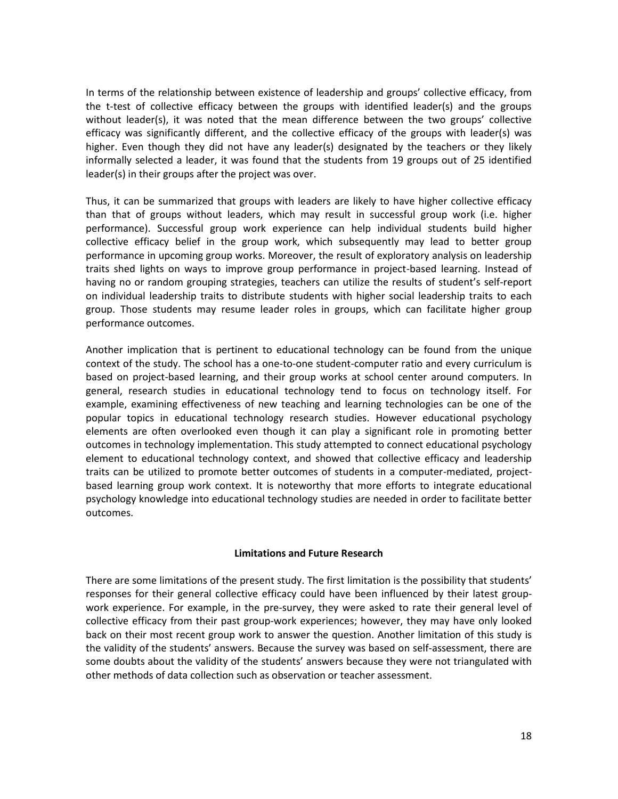In terms of the relationship between existence of leadership and groups' collective efficacy, from the t-test of collective efficacy between the groups with identified leader(s) and the groups without leader(s), it was noted that the mean difference between the two groups' collective efficacy was significantly different, and the collective efficacy of the groups with leader(s) was higher. Even though they did not have any leader(s) designated by the teachers or they likely informally selected a leader, it was found that the students from 19 groups out of 25 identified leader(s) in their groups after the project was over.

Thus, it can be summarized that groups with leaders are likely to have higher collective efficacy than that of groups without leaders, which may result in successful group work (i.e. higher performance). Successful group work experience can help individual students build higher collective efficacy belief in the group work, which subsequently may lead to better group performance in upcoming group works. Moreover, the result of exploratory analysis on leadership traits shed lights on ways to improve group performance in project-based learning. Instead of having no or random grouping strategies, teachers can utilize the results of student's self-report on individual leadership traits to distribute students with higher social leadership traits to each group. Those students may resume leader roles in groups, which can facilitate higher group performance outcomes.

Another implication that is pertinent to educational technology can be found from the unique context of the study. The school has a one-to-one student-computer ratio and every curriculum is based on project-based learning, and their group works at school center around computers. In general, research studies in educational technology tend to focus on technology itself. For example, examining effectiveness of new teaching and learning technologies can be one of the popular topics in educational technology research studies. However educational psychology elements are often overlooked even though it can play a significant role in promoting better outcomes in technology implementation. This study attempted to connect educational psychology element to educational technology context, and showed that collective efficacy and leadership traits can be utilized to promote better outcomes of students in a computer-mediated, projectbased learning group work context. It is noteworthy that more efforts to integrate educational psychology knowledge into educational technology studies are needed in order to facilitate better outcomes.

# **Limitations and Future Research**

There are some limitations of the present study. The first limitation is the possibility that students' responses for their general collective efficacy could have been influenced by their latest groupwork experience. For example, in the pre-survey, they were asked to rate their general level of collective efficacy from their past group-work experiences; however, they may have only looked back on their most recent group work to answer the question. Another limitation of this study is the validity of the students' answers. Because the survey was based on self-assessment, there are some doubts about the validity of the students' answers because they were not triangulated with other methods of data collection such as observation or teacher assessment.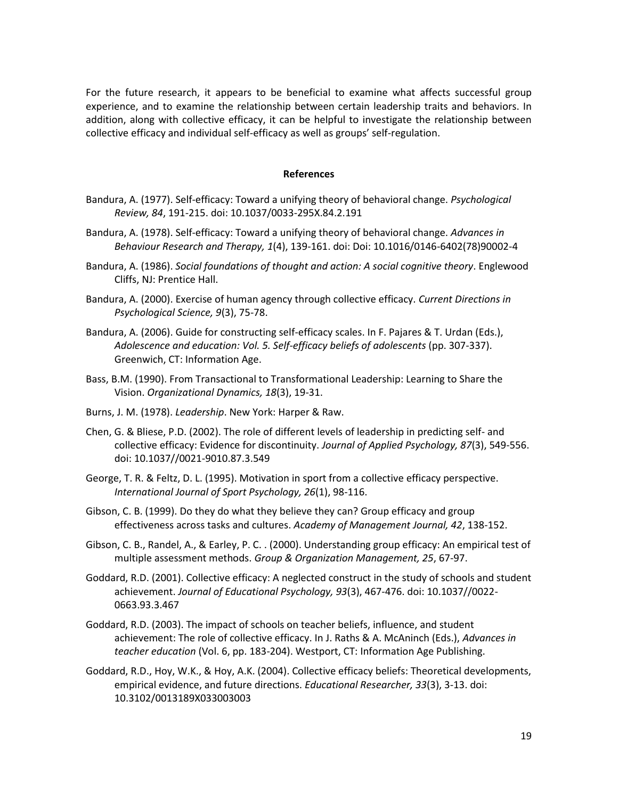For the future research, it appears to be beneficial to examine what affects successful group experience, and to examine the relationship between certain leadership traits and behaviors. In addition, along with collective efficacy, it can be helpful to investigate the relationship between collective efficacy and individual self-efficacy as well as groups' self-regulation.

#### **References**

- <span id="page-18-0"></span>Bandura, A. (1977). Self-efficacy: Toward a unifying theory of behavioral change. *Psychological Review, 84*, 191-215. doi: 10.1037/0033-295X.84.2.191
- <span id="page-18-1"></span>Bandura, A. (1978). Self-efficacy: Toward a unifying theory of behavioral change. *Advances in Behaviour Research and Therapy, 1*(4), 139-161. doi: Doi: 10.1016/0146-6402(78)90002-4
- <span id="page-18-3"></span>Bandura, A. (1986). *Social foundations of thought and action: A social cognitive theory*. Englewood Cliffs, NJ: Prentice Hall.
- <span id="page-18-2"></span>Bandura, A. (2000). Exercise of human agency through collective efficacy. *Current Directions in Psychological Science, 9*(3), 75-78.
- <span id="page-18-9"></span>Bandura, A. (2006). Guide for constructing self-efficacy scales. In F. Pajares & T. Urdan (Eds.), *Adolescence and education: Vol. 5. Self-efficacy beliefs of adolescents* (pp. 307-337). Greenwich, CT: Information Age.
- <span id="page-18-12"></span>Bass, B.M. (1990). From Transactional to Transformational Leadership: Learning to Share the Vision. *Organizational Dynamics, 18*(3), 19-31.
- <span id="page-18-13"></span>Burns, J. M. (1978). *Leadership*. New York: Harper & Raw.
- <span id="page-18-11"></span>Chen, G. & Bliese, P.D. (2002). The role of different levels of leadership in predicting self- and collective efficacy: Evidence for discontinuity. *Journal of Applied Psychology, 87*(3), 549-556. doi: 10.1037//0021-9010.87.3.549
- <span id="page-18-6"></span>George, T. R. & Feltz, D. L. (1995). Motivation in sport from a collective efficacy perspective. *International Journal of Sport Psychology, 26*(1), 98-116.
- <span id="page-18-7"></span>Gibson, C. B. (1999). Do they do what they believe they can? Group efficacy and group effectiveness across tasks and cultures. *Academy of Management Journal, 42*, 138-152.
- <span id="page-18-10"></span>Gibson, C. B., Randel, A., & Earley, P. C. . (2000). Understanding group efficacy: An empirical test of multiple assessment methods. *Group & Organization Management, 25*, 67-97.
- <span id="page-18-5"></span>Goddard, R.D. (2001). Collective efficacy: A neglected construct in the study of schools and student achievement. *Journal of Educational Psychology, 93*(3), 467-476. doi: 10.1037//0022- 0663.93.3.467
- <span id="page-18-8"></span>Goddard, R.D. (2003). The impact of schools on teacher beliefs, influence, and student achievement: The role of collective efficacy. In J. Raths & A. McAninch (Eds.), *Advances in teacher education* (Vol. 6, pp. 183-204). Westport, CT: Information Age Publishing.
- <span id="page-18-4"></span>Goddard, R.D., Hoy, W.K., & Hoy, A.K. (2004). Collective efficacy beliefs: Theoretical developments, empirical evidence, and future directions. *Educational Researcher, 33*(3), 3-13. doi: 10.3102/0013189X033003003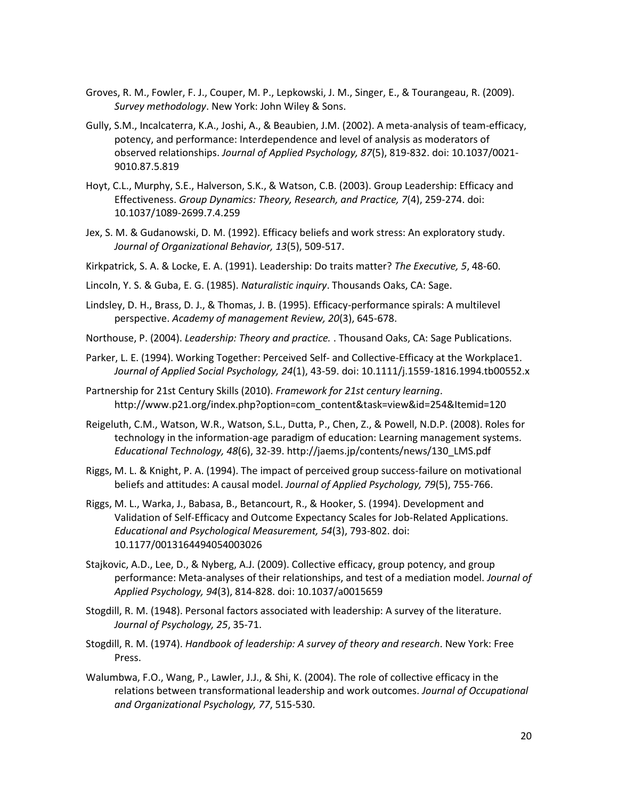- <span id="page-19-14"></span>Groves, R. M., Fowler, F. J., Couper, M. P., Lepkowski, J. M., Singer, E., & Tourangeau, R. (2009). *Survey methodology*. New York: John Wiley & Sons.
- <span id="page-19-6"></span>Gully, S.M., Incalcaterra, K.A., Joshi, A., & Beaubien, J.M. (2002). A meta-analysis of team-efficacy, potency, and performance: Interdependence and level of analysis as moderators of observed relationships. *Journal of Applied Psychology, 87*(5), 819-832. doi: 10.1037/0021- 9010.87.5.819
- <span id="page-19-9"></span>Hoyt, C.L., Murphy, S.E., Halverson, S.K., & Watson, C.B. (2003). Group Leadership: Efficacy and Effectiveness. *Group Dynamics: Theory, Research, and Practice, 7*(4), 259-274. doi: 10.1037/1089-2699.7.4.259
- <span id="page-19-3"></span>Jex, S. M. & Gudanowski, D. M. (1992). Efficacy beliefs and work stress: An exploratory study. *Journal of Organizational Behavior, 13*(5), 509-517.
- <span id="page-19-11"></span>Kirkpatrick, S. A. & Locke, E. A. (1991). Leadership: Do traits matter? *The Executive, 5*, 48-60.
- <span id="page-19-16"></span>Lincoln, Y. S. & Guba, E. G. (1985). *Naturalistic inquiry*. Thousands Oaks, CA: Sage.
- <span id="page-19-5"></span>Lindsley, D. H., Brass, D. J., & Thomas, J. B. (1995). Efficacy-performance spirals: A multilevel perspective. *Academy of management Review, 20*(3), 645-678.
- <span id="page-19-10"></span>Northouse, P. (2004). *Leadership: Theory and practice.* . Thousand Oaks, CA: Sage Publications.
- <span id="page-19-4"></span>Parker, L. E. (1994). Working Together: Perceived Self- and Collective-Efficacy at the Workplace1. *Journal of Applied Social Psychology, 24*(1), 43-59. doi: 10.1111/j.1559-1816.1994.tb00552.x
- <span id="page-19-0"></span>Partnership for 21st Century Skills (2010). *Framework for 21st century learning*. [http://www.p21.org/index.php?option=com\\_content&task=view&id=254&Itemid=120](http://www.p21.org/index.php?option=com_content&task=view&id=254&Itemid=120)
- <span id="page-19-1"></span>Reigeluth, C.M., Watson, W.R., Watson, S.L., Dutta, P., Chen, Z., & Powell, N.D.P. (2008). Roles for technology in the information-age paradigm of education: Learning management systems. *Educational Technology, 48*(6), 32-39. [http://jaems.jp/contents/news/130\\_LMS.pdf](http://jaems.jp/contents/news/130_LMS.pdf)
- <span id="page-19-2"></span>Riggs, M. L. & Knight, P. A. (1994). The impact of perceived group success-failure on motivational beliefs and attitudes: A causal model. *Journal of Applied Psychology, 79*(5), 755-766.
- <span id="page-19-15"></span>Riggs, M. L., Warka, J., Babasa, B., Betancourt, R., & Hooker, S. (1994). Development and Validation of Self-Efficacy and Outcome Expectancy Scales for Job-Related Applications. *Educational and Psychological Measurement, 54*(3), 793-802. doi: 10.1177/0013164494054003026
- <span id="page-19-7"></span>Stajkovic, A.D., Lee, D., & Nyberg, A.J. (2009). Collective efficacy, group potency, and group performance: Meta-analyses of their relationships, and test of a mediation model. *Journal of Applied Psychology, 94*(3), 814-828. doi: 10.1037/a0015659
- <span id="page-19-12"></span>Stogdill, R. M. (1948). Personal factors associated with leadership: A survey of the literature. *Journal of Psychology, 25*, 35-71.
- <span id="page-19-13"></span>Stogdill, R. M. (1974). *Handbook of leadership: A survey of theory and research*. New York: Free Press.
- <span id="page-19-8"></span>Walumbwa, F.O., Wang, P., Lawler, J.J., & Shi, K. (2004). The role of collective efficacy in the relations between transformational leadership and work outcomes. *Journal of Occupational and Organizational Psychology, 77*, 515-530.